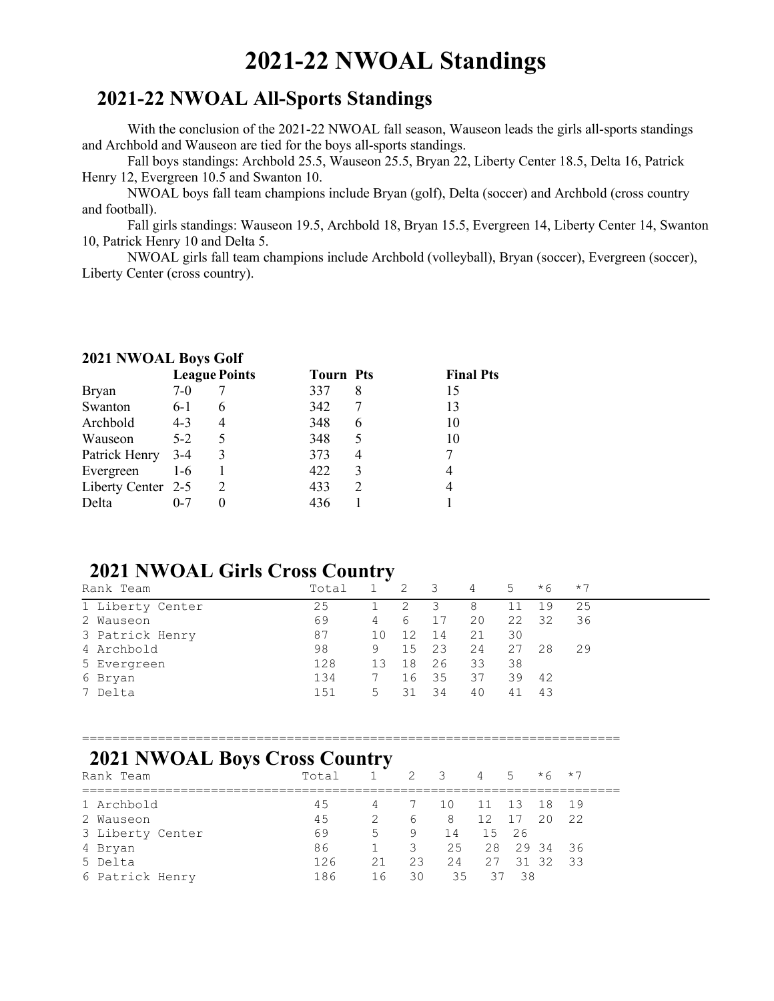# 2021-22 NWOAL Standings

#### 2021-22 NWOAL All-Sports Standings

With the conclusion of the 2021-22 NWOAL fall season, Wauseon leads the girls all-sports standings and Archbold and Wauseon are tied for the boys all-sports standings.

Fall boys standings: Archbold 25.5, Wauseon 25.5, Bryan 22, Liberty Center 18.5, Delta 16, Patrick Henry 12, Evergreen 10.5 and Swanton 10.

NWOAL boys fall team champions include Bryan (golf), Delta (soccer) and Archbold (cross country and football).

Fall girls standings: Wauseon 19.5, Archbold 18, Bryan 15.5, Evergreen 14, Liberty Center 14, Swanton 10, Patrick Henry 10 and Delta 5.

NWOAL girls fall team champions include Archbold (volleyball), Bryan (soccer), Evergreen (soccer), Liberty Center (cross country).

#### 2021 NWOAL Boys Golf

|                    |         | <b>League Points</b> | <b>Tourn Pts</b> |   | <b>Final Pts</b> |
|--------------------|---------|----------------------|------------------|---|------------------|
| <b>Bryan</b>       | $7-0$   |                      | 337              | 8 | 15               |
| Swanton            | $6-1$   | 6                    | 342              |   | 13               |
| Archbold           | $4 - 3$ | $\overline{4}$       | 348              | 6 | 10               |
| Wauseon            | $5-2$   |                      | 348              |   | 10               |
| Patrick Henry 3-4  |         |                      | 373              |   |                  |
| Evergreen          | $1-6$   |                      | 422              |   |                  |
| Liberty Center 2-5 |         | 2                    | 433              |   |                  |
| Delta              | $0 - 7$ |                      | 436              |   |                  |

#### 2021 NWOAL Girls Cross Country

| Rank Team        | Total |    | 2     | $\overline{\mathbf{3}}$ | 4  | $5 -$ | $*6$ | $*7$ |
|------------------|-------|----|-------|-------------------------|----|-------|------|------|
| 1 Liberty Center | 25    |    | 2     | -3                      | 8  | 11    | 19   | 25   |
| 2 Wauseon        | 69    | 4  | -6    | 17                      | 20 | 22    | -32  | 36   |
| 3 Patrick Henry  | 87    | 10 | 12    | 14                      | 21 | 30    |      |      |
| 4 Archbold       | 98    | 9  | 15 23 |                         | 24 | 27    | 28   | 29   |
| 5 Evergreen      | 128   | 13 | 18    | 26                      | 33 | 38    |      |      |
| 6 Bryan          | 134   |    | 16    | 35                      | 37 | 39    | - 42 |      |
| 7 Delta          | 151   | 5  | 31    | - 34                    | 40 | 41    | 43   |      |

=======================================================================

#### 2021 NWOAL Boys Cross Country

| Rank Team        | Total | $1 -$ | 2 3 |    | 4 5         |      | $*6$ $*7$   |    |
|------------------|-------|-------|-----|----|-------------|------|-------------|----|
| 1 Archbold       | 45    | 4     | 7   | 10 | 11 13 18 19 |      |             |    |
| 2 Wauseon        | 45    | 2     | 6   | 8  | 12          | 17   | 20 22       |    |
| 3 Liberty Center | 69    | $5 -$ | 9   | 14 | 15 26       |      |             |    |
| 4 Bryan          | 86    |       | 3   |    | 25 28 29 34 |      |             | 36 |
| 5 Delta          | 126   | 21    | 23  | 24 |             |      | 27 31 32 33 |    |
| 6 Patrick Henry  | 186   | 16    | 30  | 35 | 37          | - 38 |             |    |